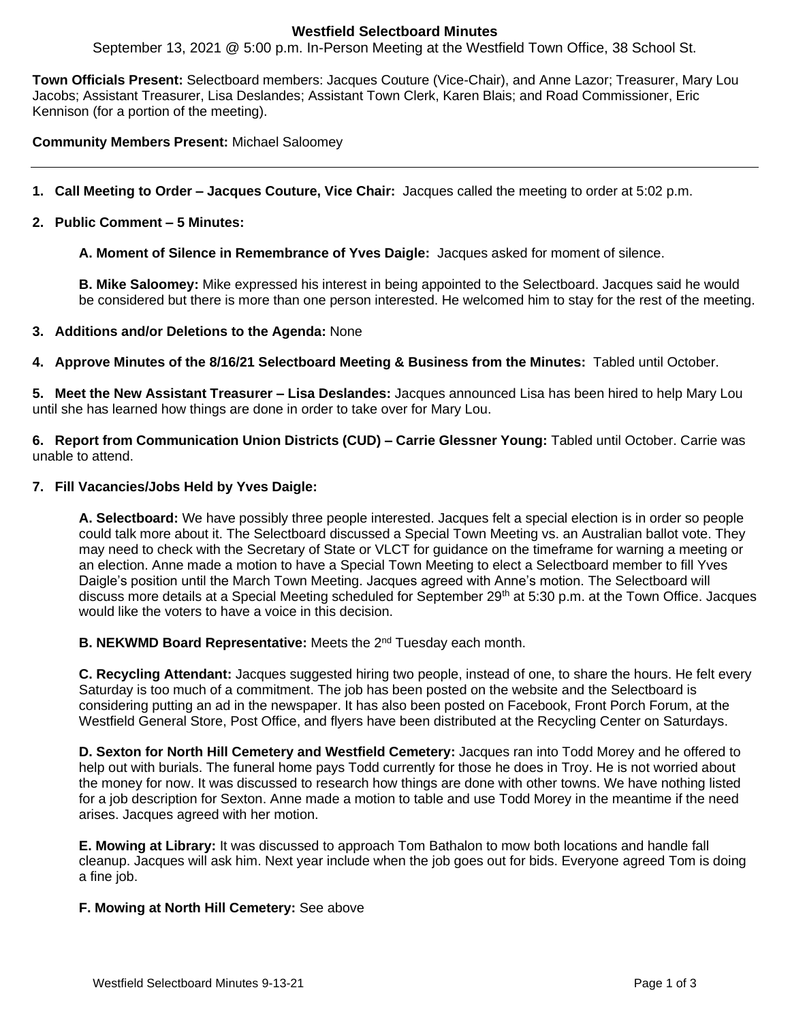# **Westfield Selectboard Minutes**

September 13, 2021 @ 5:00 p.m. In-Person Meeting at the Westfield Town Office, 38 School St.

**Town Officials Present:** Selectboard members: Jacques Couture (Vice-Chair), and Anne Lazor; Treasurer, Mary Lou Jacobs; Assistant Treasurer, Lisa Deslandes; Assistant Town Clerk, Karen Blais; and Road Commissioner, Eric Kennison (for a portion of the meeting).

**Community Members Present:** Michael Saloomey

- **1. Call Meeting to Order – Jacques Couture, Vice Chair:** Jacques called the meeting to order at 5:02 p.m.
- **2. Public Comment – 5 Minutes:**

**A. Moment of Silence in Remembrance of Yves Daigle:** Jacques asked for moment of silence.

**B. Mike Saloomey:** Mike expressed his interest in being appointed to the Selectboard. Jacques said he would be considered but there is more than one person interested. He welcomed him to stay for the rest of the meeting.

#### **3. Additions and/or Deletions to the Agenda:** None

**4. Approve Minutes of the 8/16/21 Selectboard Meeting & Business from the Minutes:** Tabled until October.

**5. Meet the New Assistant Treasurer – Lisa Deslandes:** Jacques announced Lisa has been hired to help Mary Lou until she has learned how things are done in order to take over for Mary Lou.

**6. Report from Communication Union Districts (CUD) – Carrie Glessner Young:** Tabled until October. Carrie was unable to attend.

#### **7. Fill Vacancies/Jobs Held by Yves Daigle:**

**A. Selectboard:** We have possibly three people interested. Jacques felt a special election is in order so people could talk more about it. The Selectboard discussed a Special Town Meeting vs. an Australian ballot vote. They may need to check with the Secretary of State or VLCT for guidance on the timeframe for warning a meeting or an election. Anne made a motion to have a Special Town Meeting to elect a Selectboard member to fill Yves Daigle's position until the March Town Meeting. Jacques agreed with Anne's motion. The Selectboard will discuss more details at a Special Meeting scheduled for September 29<sup>th</sup> at 5:30 p.m. at the Town Office. Jacques would like the voters to have a voice in this decision.

**B. NEKWMD Board Representative:** Meets the 2<sup>nd</sup> Tuesday each month.

**C. Recycling Attendant:** Jacques suggested hiring two people, instead of one, to share the hours. He felt every Saturday is too much of a commitment. The job has been posted on the website and the Selectboard is considering putting an ad in the newspaper. It has also been posted on Facebook, Front Porch Forum, at the Westfield General Store, Post Office, and flyers have been distributed at the Recycling Center on Saturdays.

**D. Sexton for North Hill Cemetery and Westfield Cemetery:** Jacques ran into Todd Morey and he offered to help out with burials. The funeral home pays Todd currently for those he does in Troy. He is not worried about the money for now. It was discussed to research how things are done with other towns. We have nothing listed for a job description for Sexton. Anne made a motion to table and use Todd Morey in the meantime if the need arises. Jacques agreed with her motion.

**E. Mowing at Library:** It was discussed to approach Tom Bathalon to mow both locations and handle fall cleanup. Jacques will ask him. Next year include when the job goes out for bids. Everyone agreed Tom is doing a fine job.

## **F. Mowing at North Hill Cemetery:** See above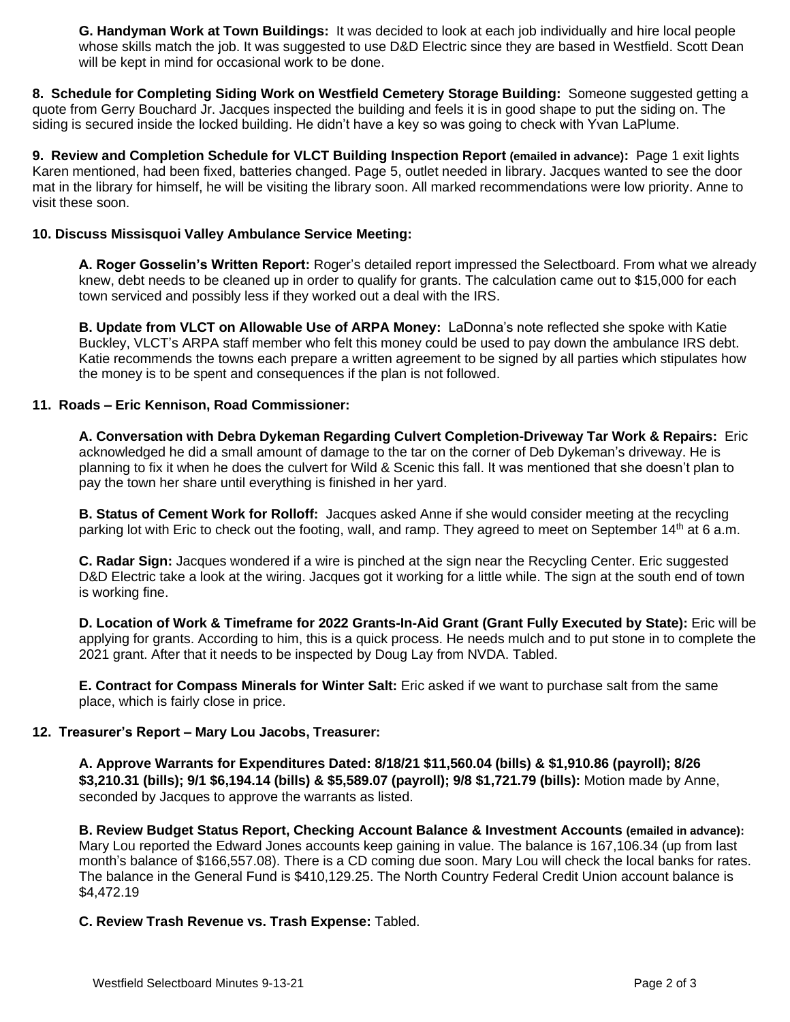**G. Handyman Work at Town Buildings:** It was decided to look at each job individually and hire local people whose skills match the job. It was suggested to use D&D Electric since they are based in Westfield. Scott Dean will be kept in mind for occasional work to be done.

**8. Schedule for Completing Siding Work on Westfield Cemetery Storage Building:** Someone suggested getting a quote from Gerry Bouchard Jr. Jacques inspected the building and feels it is in good shape to put the siding on. The siding is secured inside the locked building. He didn't have a key so was going to check with Yvan LaPlume.

**9. Review and Completion Schedule for VLCT Building Inspection Report (emailed in advance):** Page 1 exit lights Karen mentioned, had been fixed, batteries changed. Page 5, outlet needed in library. Jacques wanted to see the door mat in the library for himself, he will be visiting the library soon. All marked recommendations were low priority. Anne to visit these soon.

# **10. Discuss Missisquoi Valley Ambulance Service Meeting:**

**A. Roger Gosselin's Written Report:** Roger's detailed report impressed the Selectboard. From what we already knew, debt needs to be cleaned up in order to qualify for grants. The calculation came out to \$15,000 for each town serviced and possibly less if they worked out a deal with the IRS.

**B. Update from VLCT on Allowable Use of ARPA Money:** LaDonna's note reflected she spoke with Katie Buckley, VLCT's ARPA staff member who felt this money could be used to pay down the ambulance IRS debt. Katie recommends the towns each prepare a written agreement to be signed by all parties which stipulates how the money is to be spent and consequences if the plan is not followed.

## **11. Roads – Eric Kennison, Road Commissioner:**

**A. Conversation with Debra Dykeman Regarding Culvert Completion-Driveway Tar Work & Repairs:** Eric acknowledged he did a small amount of damage to the tar on the corner of Deb Dykeman's driveway. He is planning to fix it when he does the culvert for Wild & Scenic this fall. It was mentioned that she doesn't plan to pay the town her share until everything is finished in her yard.

**B. Status of Cement Work for Rolloff:** Jacques asked Anne if she would consider meeting at the recycling parking lot with Eric to check out the footing, wall, and ramp. They agreed to meet on September 14<sup>th</sup> at 6 a.m.

**C. Radar Sign:** Jacques wondered if a wire is pinched at the sign near the Recycling Center. Eric suggested D&D Electric take a look at the wiring. Jacques got it working for a little while. The sign at the south end of town is working fine.

**D. Location of Work & Timeframe for 2022 Grants-In-Aid Grant (Grant Fully Executed by State):** Eric will be applying for grants. According to him, this is a quick process. He needs mulch and to put stone in to complete the 2021 grant. After that it needs to be inspected by Doug Lay from NVDA. Tabled.

**E. Contract for Compass Minerals for Winter Salt:** Eric asked if we want to purchase salt from the same place, which is fairly close in price.

## **12. Treasurer's Report – Mary Lou Jacobs, Treasurer:**

**A. Approve Warrants for Expenditures Dated: 8/18/21 \$11,560.04 (bills) & \$1,910.86 (payroll); 8/26 \$3,210.31 (bills); 9/1 \$6,194.14 (bills) & \$5,589.07 (payroll); 9/8 \$1,721.79 (bills):** Motion made by Anne, seconded by Jacques to approve the warrants as listed.

**B. Review Budget Status Report, Checking Account Balance & Investment Accounts (emailed in advance):** Mary Lou reported the Edward Jones accounts keep gaining in value. The balance is 167,106.34 (up from last month's balance of \$166,557.08). There is a CD coming due soon. Mary Lou will check the local banks for rates. The balance in the General Fund is \$410,129.25. The North Country Federal Credit Union account balance is \$4,472.19

## **C. Review Trash Revenue vs. Trash Expense:** Tabled.